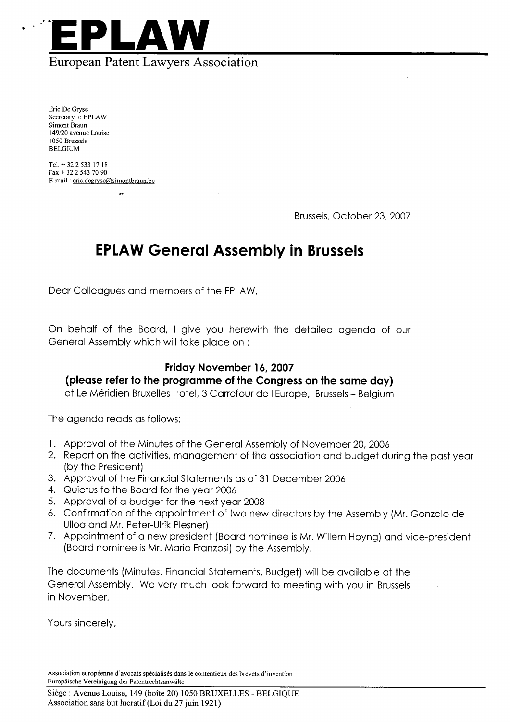

Eric De Gryse Secretary to EPLAW Simont Braun 149/20 avenue Louise i 050 Brussels BELGIUM

TeL. + 32 2 533 17 18 Fax + 32 2 543 70 90 E-mail: eric.degryse@simontbraun.be

Brussels, October 23, 2007

## EPLAW General Assembly in Brussels

Dear Colleagues and members of the EPLAW,

On behalf of the Board, I give you herewith the detailed agenda of our General Assembly which will take place on :

## Friday November 16, 2007

## (please refer to the programme of the Congress on the same day)

at Le Méridien Bruxelles Hotel, 3 Carrefour de l'Europe, Brussels - Belgium

The agenda reads as follows:

- 1. Approval of the Minutes of the General Assembly of November 20, 2006
- 2. Report on the activities, management of the association and budget during the past year (by the President)
- 3. Approval of the Financial statements as of 31 December 2006
- 4. Quietus to the Board for the year 2006
- 5. Approval of a budget for the next year 2008
- 6. Confirmation of the appointment of two new directors by the Assembly (Mr. Gonzalo de Ulloa and Mr. Peter-Ulrik Plesner)
- 7. Appointment of a new president (Board nominee is Mr. Willem Hoyng) and vice-president (Board nominee is Mr. Mario Franzosi) by the Assembly.

The documents (Minutes, Financial statements, Budget) will be available at the General Assembly. We very much look forward to meeting with you in Brussels in November.

Yours sincerely,

Association européenne d'avocats spécialisés dans le contentieux des brevets d'invention Europaische Vereinigung der Patentrechtsanwalte